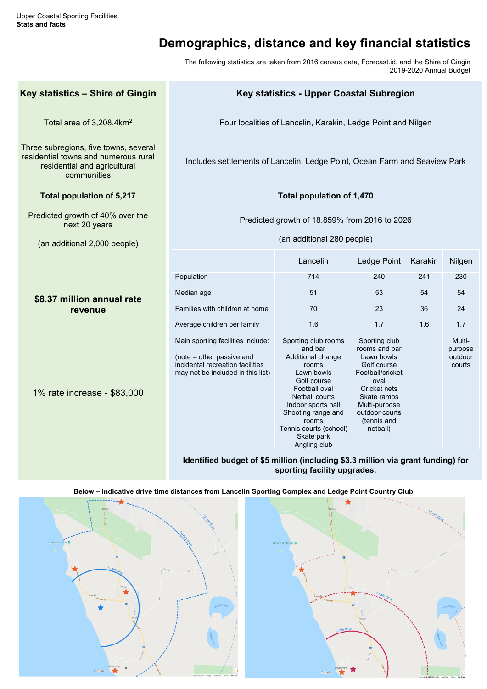# **Demographics, distance and key financial statistics**

The following statistics are taken from 2016 census data, Forecast.id, and the Shire of Gingin 2019-2020 Annual Budget

## **Key statistics – Shire of Gingin Key statistics - Upper Coastal Subregion**

Total area of 3,208.4km<sup>2</sup> Four localities of Lancelin, Karakin, Ledge Point and Nilgen

Three subregions, five towns, several residential towns and numerous rural residential and agricultural communities

Includes settlements of Lancelin, Ledge Point, Ocean Farm and Seaview Park

### **Total population of 5,217 Total population of 1,470**

Predicted growth of 40% over the next 20 years

(an additional 2,000 people)

Predicted growth of 18.859% from 2016 to 2026

(an additional 280 people)

### **\$8.37 million annual rate revenue**

1% rate increase - \$83,000

|                                                                                                                                         | Lancelin                                                                                                                                                                                                                                         | Ledge Point                                                                                                                                                                                 | Karakin | <b>Nilgen</b>                          |
|-----------------------------------------------------------------------------------------------------------------------------------------|--------------------------------------------------------------------------------------------------------------------------------------------------------------------------------------------------------------------------------------------------|---------------------------------------------------------------------------------------------------------------------------------------------------------------------------------------------|---------|----------------------------------------|
| Population                                                                                                                              | 714                                                                                                                                                                                                                                              | 240                                                                                                                                                                                         | 241     | 230                                    |
| Median age                                                                                                                              | 51                                                                                                                                                                                                                                               | 53                                                                                                                                                                                          | 54      | 54                                     |
| Families with children at home                                                                                                          | 70                                                                                                                                                                                                                                               | 23                                                                                                                                                                                          | 36      | 24                                     |
| Average children per family                                                                                                             | 1.6                                                                                                                                                                                                                                              | 1.7                                                                                                                                                                                         | 1.6     | 1.7                                    |
| Main sporting facilities include:<br>(note – other passive and<br>incidental recreation facilities<br>may not be included in this list) | Sporting club rooms<br>and bar<br>Additional change<br>rooms<br>Lawn bowls<br>Golf course<br>Football oval<br><b>Netball courts</b><br>Indoor sports hall<br>Shooting range and<br>rooms<br>Tennis courts (school)<br>Skate park<br>Angling club | Sporting club<br>rooms and bar<br>Lawn bowls<br>Golf course<br>Football/cricket<br>oval<br><b>Cricket nets</b><br>Skate ramps<br>Multi-purpose<br>outdoor courts<br>(tennis and<br>netball) |         | Multi-<br>purpose<br>outdoor<br>courts |

**Identified budget of \$5 million (including \$3.3 million via grant funding) for sporting facility upgrades.**

**Below – indicative drive time distances from Lancelin Sporting Complex and Ledge Point Country Club**